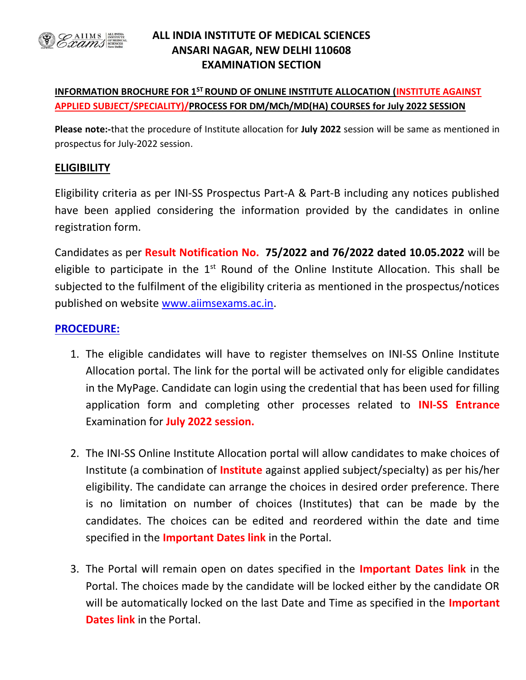

### ALL INDIA INSTITUTE OF MEDICAL SCIENCES ANSARI NAGAR, NEW DELHI 110608 EXAMINATION SECTION

#### INFORMATION BROCHURE FOR 1<sup>ST</sup> ROUND OF ONLINE INSTITUTE ALLOCATION (INSTITUTE AGAINST APPLIED SUBJECT/SPECIALITY)/PROCESS FOR DM/MCh/MD(HA) COURSES for July 2022 SESSION

Please note:-that the procedure of Institute allocation for July 2022 session will be same as mentioned in prospectus for July-2022 session.

#### **ELIGIBILITY**

Eligibility criteria as per INI-SS Prospectus Part-A & Part-B including any notices published have been applied considering the information provided by the candidates in online registration form.

Candidates as per Result Notification No. 75/2022 and 76/2022 dated 10.05.2022 will be eligible to participate in the  $1<sup>st</sup>$  Round of the Online Institute Allocation. This shall be subjected to the fulfilment of the eligibility criteria as mentioned in the prospectus/notices published on website www.aiimsexams.ac.in.

#### PROCEDURE:

- 1. The eligible candidates will have to register themselves on INI-SS Online Institute Allocation portal. The link for the portal will be activated only for eligible candidates in the MyPage. Candidate can login using the credential that has been used for filling application form and completing other processes related to **INI-SS Entrance** Examination for July 2022 session.
- 2. The INI-SS Online Institute Allocation portal will allow candidates to make choices of Institute (a combination of Institute against applied subject/specialty) as per his/her eligibility. The candidate can arrange the choices in desired order preference. There is no limitation on number of choices (Institutes) that can be made by the candidates. The choices can be edited and reordered within the date and time specified in the **Important Dates link** in the Portal.
- 3. The Portal will remain open on dates specified in the Important Dates link in the Portal. The choices made by the candidate will be locked either by the candidate OR will be automatically locked on the last Date and Time as specified in the **Important** Dates link in the Portal.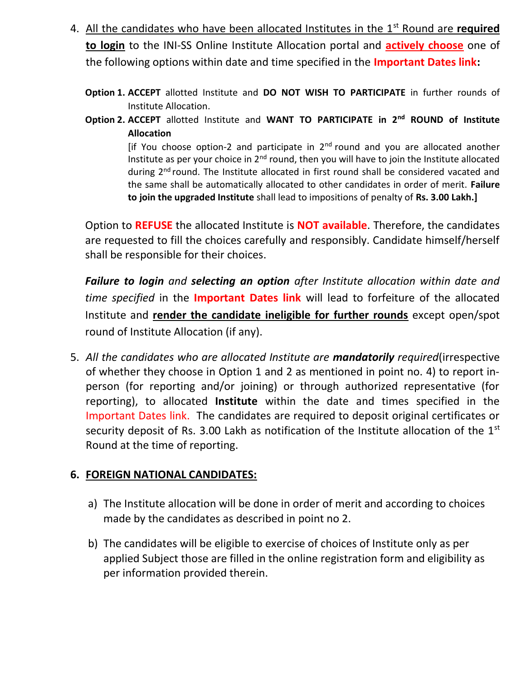- 4. All the candidates who have been allocated Institutes in the 1<sup>st</sup> Round are required to login to the INI-SS Online Institute Allocation portal and **actively choose** one of the following options within date and time specified in the **Important Dates link:** 
	- Option 1. ACCEPT allotted Institute and DO NOT WISH TO PARTICIPATE in further rounds of Institute Allocation.
	- Option 2. ACCEPT allotted Institute and WANT TO PARTICIPATE in 2<sup>nd</sup> ROUND of Institute Allocation

[if You choose option-2 and participate in  $2<sup>nd</sup>$  round and you are allocated another Institute as per your choice in 2<sup>nd</sup> round, then you will have to join the Institute allocated during 2<sup>nd</sup> round. The Institute allocated in first round shall be considered vacated and the same shall be automatically allocated to other candidates in order of merit. Failure to join the upgraded Institute shall lead to impositions of penalty of Rs. 3.00 Lakh.]

Option to REFUSE the allocated Institute is NOT available. Therefore, the candidates are requested to fill the choices carefully and responsibly. Candidate himself/herself shall be responsible for their choices.

Failure to login and selecting an option after Institute allocation within date and time specified in the *Important Dates link* will lead to forfeiture of the allocated Institute and render the candidate ineligible for further rounds except open/spot round of Institute Allocation (if any).

5. All the candidates who are allocated Institute are mandatorily required(irrespective of whether they choose in Option 1 and 2 as mentioned in point no. 4) to report inperson (for reporting and/or joining) or through authorized representative (for reporting), to allocated **Institute** within the date and times specified in the Important Dates link. The candidates are required to deposit original certificates or security deposit of Rs. 3.00 Lakh as notification of the Institute allocation of the  $1<sup>st</sup>$ Round at the time of reporting.

## 6. FOREIGN NATIONAL CANDIDATES:

- a) The Institute allocation will be done in order of merit and according to choices made by the candidates as described in point no 2.
- b) The candidates will be eligible to exercise of choices of Institute only as per applied Subject those are filled in the online registration form and eligibility as per information provided therein.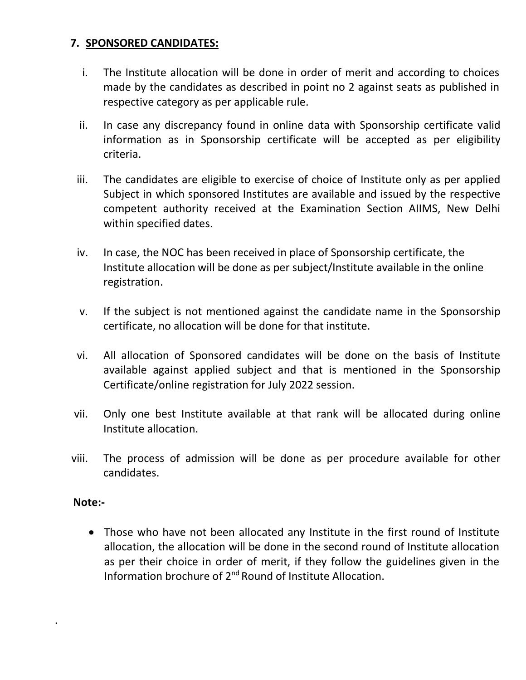# 7. SPONSORED CANDIDATES:

- i. The Institute allocation will be done in order of merit and according to choices made by the candidates as described in point no 2 against seats as published in respective category as per applicable rule.
- ii. In case any discrepancy found in online data with Sponsorship certificate valid information as in Sponsorship certificate will be accepted as per eligibility criteria.
- iii. The candidates are eligible to exercise of choice of Institute only as per applied Subject in which sponsored Institutes are available and issued by the respective competent authority received at the Examination Section AIIMS, New Delhi within specified dates.
- iv. In case, the NOC has been received in place of Sponsorship certificate, the Institute allocation will be done as per subject/Institute available in the online registration.
- v. If the subject is not mentioned against the candidate name in the Sponsorship certificate, no allocation will be done for that institute.
- vi. All allocation of Sponsored candidates will be done on the basis of Institute available against applied subject and that is mentioned in the Sponsorship Certificate/online registration for July 2022 session.
- vii. Only one best Institute available at that rank will be allocated during online Institute allocation.
- viii. The process of admission will be done as per procedure available for other candidates.

### Note:-

.

 Those who have not been allocated any Institute in the first round of Institute allocation, the allocation will be done in the second round of Institute allocation as per their choice in order of merit, if they follow the guidelines given in the Information brochure of 2nd Round of Institute Allocation.